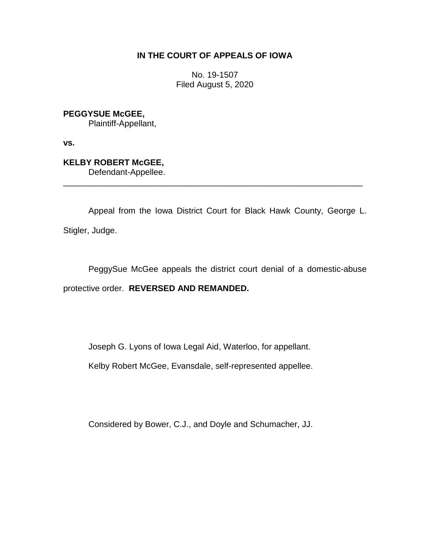## **IN THE COURT OF APPEALS OF IOWA**

No. 19-1507 Filed August 5, 2020

**PEGGYSUE McGEE,**

Plaintiff-Appellant,

**vs.**

**KELBY ROBERT McGEE,**

Defendant-Appellee.

Appeal from the Iowa District Court for Black Hawk County, George L. Stigler, Judge.

\_\_\_\_\_\_\_\_\_\_\_\_\_\_\_\_\_\_\_\_\_\_\_\_\_\_\_\_\_\_\_\_\_\_\_\_\_\_\_\_\_\_\_\_\_\_\_\_\_\_\_\_\_\_\_\_\_\_\_\_\_\_\_\_

PeggySue McGee appeals the district court denial of a domestic-abuse protective order. **REVERSED AND REMANDED.**

Joseph G. Lyons of Iowa Legal Aid, Waterloo, for appellant.

Kelby Robert McGee, Evansdale, self-represented appellee.

Considered by Bower, C.J., and Doyle and Schumacher, JJ.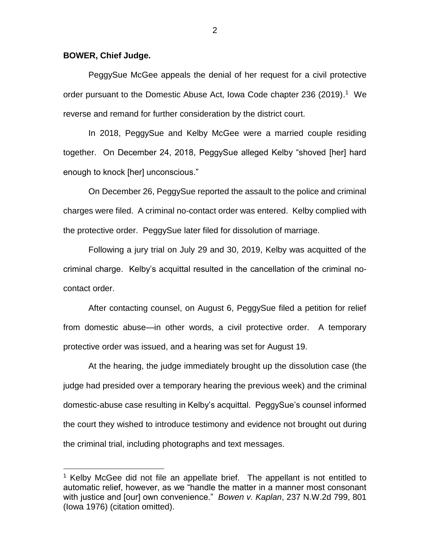## **BOWER, Chief Judge.**

 $\overline{a}$ 

PeggySue McGee appeals the denial of her request for a civil protective order pursuant to the Domestic Abuse Act, Iowa Code chapter 236 (2019).<sup>1</sup> We reverse and remand for further consideration by the district court.

In 2018, PeggySue and Kelby McGee were a married couple residing together. On December 24, 2018, PeggySue alleged Kelby "shoved [her] hard enough to knock [her] unconscious."

On December 26, PeggySue reported the assault to the police and criminal charges were filed. A criminal no-contact order was entered. Kelby complied with the protective order. PeggySue later filed for dissolution of marriage.

Following a jury trial on July 29 and 30, 2019, Kelby was acquitted of the criminal charge. Kelby's acquittal resulted in the cancellation of the criminal nocontact order.

After contacting counsel, on August 6, PeggySue filed a petition for relief from domestic abuse—in other words, a civil protective order. A temporary protective order was issued, and a hearing was set for August 19.

At the hearing, the judge immediately brought up the dissolution case (the judge had presided over a temporary hearing the previous week) and the criminal domestic-abuse case resulting in Kelby's acquittal. PeggySue's counsel informed the court they wished to introduce testimony and evidence not brought out during the criminal trial, including photographs and text messages.

 $1$  Kelby McGee did not file an appellate brief. The appellant is not entitled to automatic relief, however, as we "handle the matter in a manner most consonant with justice and [our] own convenience." *Bowen v. Kaplan*, 237 N.W.2d 799, 801 (Iowa 1976) (citation omitted).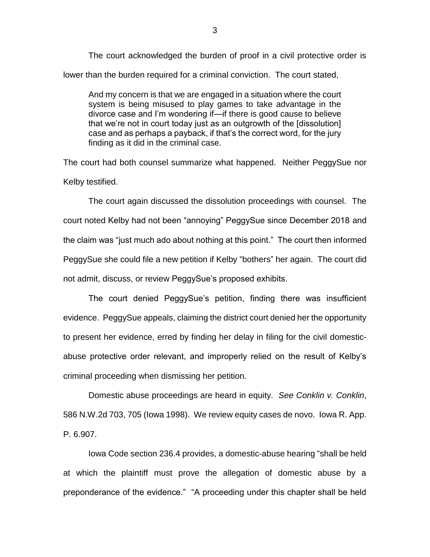The court acknowledged the burden of proof in a civil protective order is lower than the burden required for a criminal conviction. The court stated,

And my concern is that we are engaged in a situation where the court system is being misused to play games to take advantage in the divorce case and I'm wondering if—if there is good cause to believe that we're not in court today just as an outgrowth of the [dissolution] case and as perhaps a payback, if that's the correct word, for the jury finding as it did in the criminal case.

The court had both counsel summarize what happened. Neither PeggySue nor Kelby testified.

The court again discussed the dissolution proceedings with counsel. The court noted Kelby had not been "annoying" PeggySue since December 2018 and the claim was "just much ado about nothing at this point." The court then informed PeggySue she could file a new petition if Kelby "bothers" her again. The court did not admit, discuss, or review PeggySue's proposed exhibits.

The court denied PeggySue's petition, finding there was insufficient evidence. PeggySue appeals, claiming the district court denied her the opportunity to present her evidence, erred by finding her delay in filing for the civil domesticabuse protective order relevant, and improperly relied on the result of Kelby's criminal proceeding when dismissing her petition.

Domestic abuse proceedings are heard in equity. *See Conklin v. Conklin*, 586 N.W.2d 703, 705 (Iowa 1998). We review equity cases de novo. Iowa R. App. P. 6.907.

Iowa Code section 236.4 provides, a domestic-abuse hearing "shall be held at which the plaintiff must prove the allegation of domestic abuse by a preponderance of the evidence." "A proceeding under this chapter shall be held